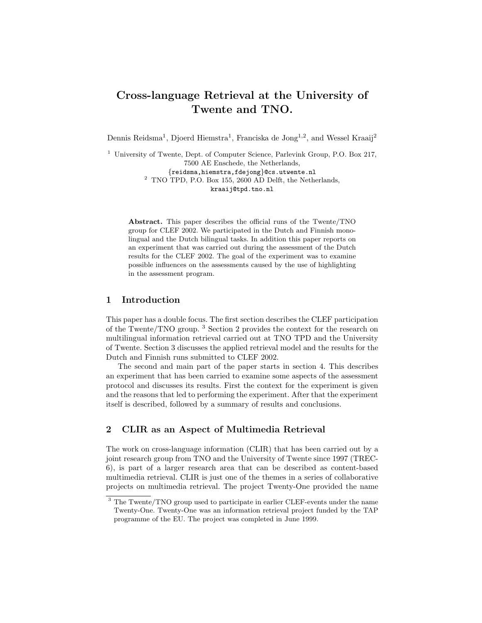# Cross-language Retrieval at the University of Twente and TNO.

Dennis Reidsma<sup>1</sup>, Djoerd Hiemstra<sup>1</sup>, Franciska de Jong<sup>1,2</sup>, and Wessel Kraaij<sup>2</sup>

<sup>1</sup> University of Twente, Dept. of Computer Science, Parlevink Group, P.O. Box 217, 7500 AE Enschede, the Netherlands, {reidsma,hiemstra,fdejong}@cs.utwente.nl

<sup>2</sup> TNO TPD, P.O. Box 155, 2600 AD Delft, the Netherlands, kraaij@tpd.tno.nl

Abstract. This paper describes the official runs of the Twente/TNO group for CLEF 2002. We participated in the Dutch and Finnish monolingual and the Dutch bilingual tasks. In addition this paper reports on an experiment that was carried out during the assessment of the Dutch results for the CLEF 2002. The goal of the experiment was to examine possible influences on the assessments caused by the use of highlighting in the assessment program.

## 1 Introduction

This paper has a double focus. The first section describes the CLEF participation of the Twente/TNO group. <sup>3</sup> Section 2 provides the context for the research on multilingual information retrieval carried out at TNO TPD and the University of Twente. Section 3 discusses the applied retrieval model and the results for the Dutch and Finnish runs submitted to CLEF 2002.

The second and main part of the paper starts in section 4. This describes an experiment that has been carried to examine some aspects of the assessment protocol and discusses its results. First the context for the experiment is given and the reasons that led to performing the experiment. After that the experiment itself is described, followed by a summary of results and conclusions.

## 2 CLIR as an Aspect of Multimedia Retrieval

The work on cross-language information (CLIR) that has been carried out by a joint research group from TNO and the University of Twente since 1997 (TREC-6), is part of a larger research area that can be described as content-based multimedia retrieval. CLIR is just one of the themes in a series of collaborative projects on multimedia retrieval. The project Twenty-One provided the name

<sup>&</sup>lt;sup>3</sup> The Twente/TNO group used to participate in earlier CLEF-events under the name Twenty-One. Twenty-One was an information retrieval project funded by the TAP programme of the EU. The project was completed in June 1999.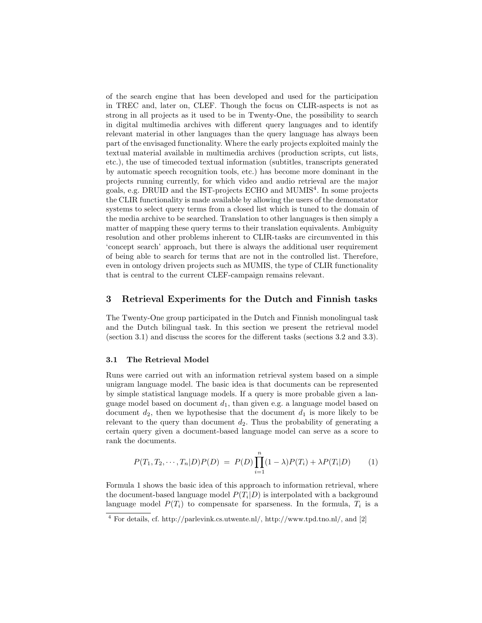of the search engine that has been developed and used for the participation in TREC and, later on, CLEF. Though the focus on CLIR-aspects is not as strong in all projects as it used to be in Twenty-One, the possibility to search in digital multimedia archives with different query languages and to identify relevant material in other languages than the query language has always been part of the envisaged functionality. Where the early projects exploited mainly the textual material available in multimedia archives (production scripts, cut lists, etc.), the use of timecoded textual information (subtitles, transcripts generated by automatic speech recognition tools, etc.) has become more dominant in the projects running currently, for which video and audio retrieval are the major goals, e.g. DRUID and the IST-projects ECHO and MUMIS<sup>4</sup> . In some projects the CLIR functionality is made available by allowing the users of the demonstator systems to select query terms from a closed list which is tuned to the domain of the media archive to be searched. Translation to other languages is then simply a matter of mapping these query terms to their translation equivalents. Ambiguity resolution and other problems inherent to CLIR-tasks are circumvented in this 'concept search' approach, but there is always the additional user requirement of being able to search for terms that are not in the controlled list. Therefore, even in ontology driven projects such as MUMIS, the type of CLIR functionality that is central to the current CLEF-campaign remains relevant.

## 3 Retrieval Experiments for the Dutch and Finnish tasks

The Twenty-One group participated in the Dutch and Finnish monolingual task and the Dutch bilingual task. In this section we present the retrieval model (section 3.1) and discuss the scores for the different tasks (sections 3.2 and 3.3).

## 3.1 The Retrieval Model

Runs were carried out with an information retrieval system based on a simple unigram language model. The basic idea is that documents can be represented by simple statistical language models. If a query is more probable given a language model based on document  $d_1$ , than given e.g. a language model based on document  $d_2$ , then we hypothesise that the document  $d_1$  is more likely to be relevant to the query than document  $d_2$ . Thus the probability of generating a certain query given a document-based language model can serve as a score to rank the documents.

$$
P(T_1, T_2, \cdots, T_n | D) P(D) = P(D) \prod_{i=1}^n (1 - \lambda) P(T_i) + \lambda P(T_i | D)
$$
 (1)

Formula 1 shows the basic idea of this approach to information retrieval, where the document-based language model  $P(T_i|D)$  is interpolated with a background language model  $P(T_i)$  to compensate for sparseness. In the formula,  $T_i$  is a

 $\frac{4}{4}$  For details, cf. http://parlevink.cs.utwente.nl/, http://www.tpd.tno.nl/, and [2]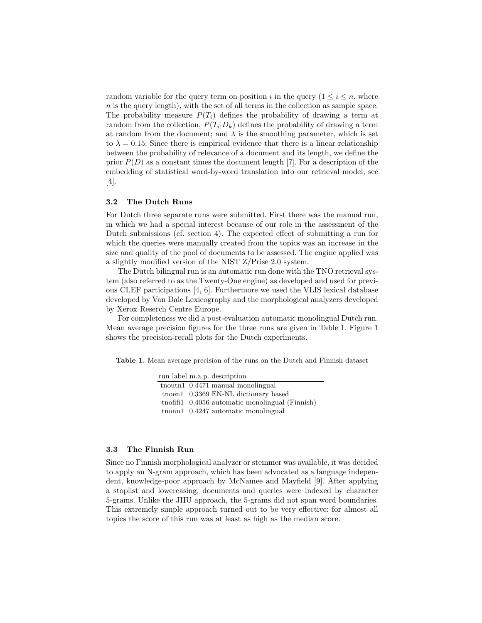random variable for the query term on position i in the query  $(1 \le i \le n$ , where  $n$  is the query length), with the set of all terms in the collection as sample space. The probability measure  $P(T_i)$  defines the probability of drawing a term at random from the collection,  $P(T_i|D_k)$  defines the probability of drawing a term at random from the document; and  $\lambda$  is the smoothing parameter, which is set to  $\lambda = 0.15$ . Since there is empirical evidence that there is a linear relationship between the probability of relevance of a document and its length, we define the prior  $P(D)$  as a constant times the document length [7]. For a description of the embedding of statistical word-by-word translation into our retrieval model, see [4].

## 3.2 The Dutch Runs

For Dutch three separate runs were submitted. First there was the manual run, in which we had a special interest because of our role in the assessment of the Dutch submissions (cf. section 4). The expected effect of submitting a run for which the queries were manually created from the topics was an increase in the size and quality of the pool of documents to be assessed. The engine applied was a slightly modified version of the NIST Z/Prise 2.0 system.

The Dutch bilingual run is an automatic run done with the TNO retrieval system (also referred to as the Twenty-One engine) as developed and used for previous CLEF participations [4, 6]. Furthermore we used the VLIS lexical database developed by Van Dale Lexicography and the morphological analyzers developed by Xerox Reserch Centre Europe.

For completeness we did a post-evaluation automatic monolingual Dutch run. Mean average precision figures for the three runs are given in Table 1. Figure 1 shows the precision-recall plots for the Dutch experiments.

Table 1. Mean average precision of the runs on the Dutch and Finnish dataset

|  | run label m.a.p. description                   |
|--|------------------------------------------------|
|  | tnoutn1 0.4471 manual monolingual              |
|  | tnoen1 0.3369 EN-NL dictionary based           |
|  | thoff i 0.4056 automatic monolingual (Finnish) |
|  | through 0.4247 automatic monolingual           |

## 3.3 The Finnish Run

Since no Finnish morphological analyzer or stemmer was available, it was decided to apply an N-gram approach, which has been advocated as a language independent, knowledge-poor approach by McNamee and Mayfield [9]. After applying a stoplist and lowercasing, documents and queries were indexed by character 5-grams. Unlike the JHU approach, the 5-grams did not span word boundaries. This extremely simple approach turned out to be very effective: for almost all topics the score of this run was at least as high as the median score.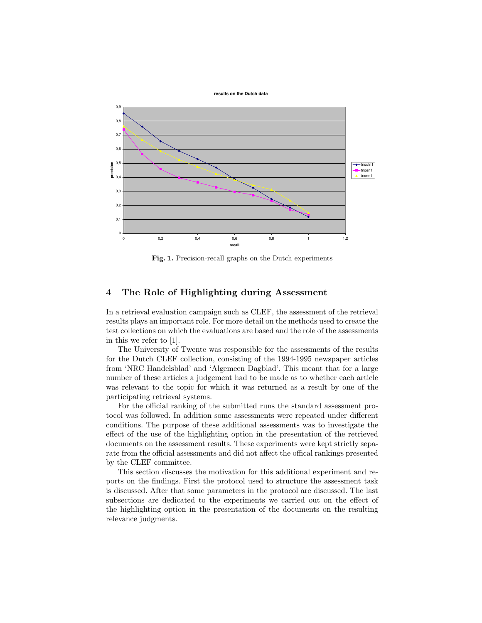

Fig. 1. Precision-recall graphs on the Dutch experiments

## 4 The Role of Highlighting during Assessment

In a retrieval evaluation campaign such as CLEF, the assessment of the retrieval results plays an important role. For more detail on the methods used to create the test collections on which the evaluations are based and the role of the assessments in this we refer to [1].

The University of Twente was responsible for the assessments of the results for the Dutch CLEF collection, consisting of the 1994-1995 newspaper articles from 'NRC Handelsblad' and 'Algemeen Dagblad'. This meant that for a large number of these articles a judgement had to be made as to whether each article was relevant to the topic for which it was returned as a result by one of the participating retrieval systems.

For the official ranking of the submitted runs the standard assessment protocol was followed. In addition some assessments were repeated under different conditions. The purpose of these additional assessments was to investigate the effect of the use of the highlighting option in the presentation of the retrieved documents on the assessment results. These experiments were kept strictly separate from the official assessments and did not affect the offical rankings presented by the CLEF committee.

This section discusses the motivation for this additional experiment and reports on the findings. First the protocol used to structure the assessment task is discussed. After that some parameters in the protocol are discussed. The last subsections are dedicated to the experiments we carried out on the effect of the highlighting option in the presentation of the documents on the resulting relevance judgments.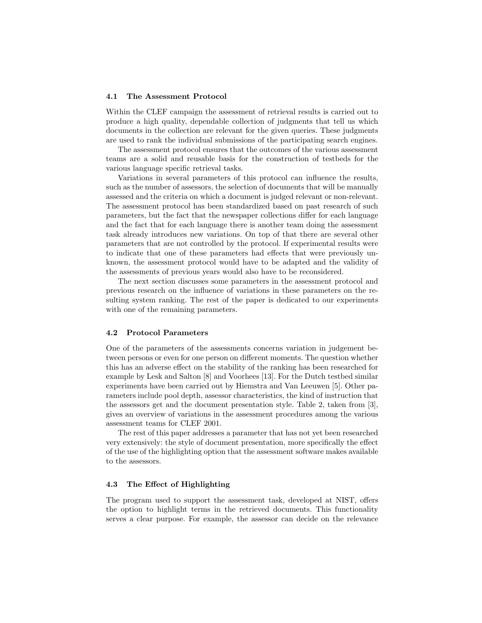#### 4.1 The Assessment Protocol

Within the CLEF campaign the assessment of retrieval results is carried out to produce a high quality, dependable collection of judgments that tell us which documents in the collection are relevant for the given queries. These judgments are used to rank the individual submissions of the participating search engines.

The assessment protocol ensures that the outcomes of the various assessment teams are a solid and reusable basis for the construction of testbeds for the various language specific retrieval tasks.

Variations in several parameters of this protocol can influence the results, such as the number of assessors, the selection of documents that will be manually assessed and the criteria on which a document is judged relevant or non-relevant. The assessment protocol has been standardized based on past research of such parameters, but the fact that the newspaper collections differ for each language and the fact that for each language there is another team doing the assessment task already introduces new variations. On top of that there are several other parameters that are not controlled by the protocol. If experimental results were to indicate that one of these parameters had effects that were previously unknown, the assessment protocol would have to be adapted and the validity of the assessments of previous years would also have to be reconsidered.

The next section discusses some parameters in the assessment protocol and previous research on the influence of variations in these parameters on the resulting system ranking. The rest of the paper is dedicated to our experiments with one of the remaining parameters.

## 4.2 Protocol Parameters

One of the parameters of the assessments concerns variation in judgement between persons or even for one person on different moments. The question whether this has an adverse effect on the stability of the ranking has been researched for example by Lesk and Salton [8] and Voorhees [13]. For the Dutch testbed similar experiments have been carried out by Hiemstra and Van Leeuwen [5]. Other parameters include pool depth, assessor characteristics, the kind of instruction that the assessors get and the document presentation style. Table 2, taken from [3], gives an overview of variations in the assessment procedures among the various assessment teams for CLEF 2001.

The rest of this paper addresses a parameter that has not yet been researched very extensively: the style of document presentation, more specifically the effect of the use of the highlighting option that the assessment software makes available to the assessors.

## 4.3 The Effect of Highlighting

The program used to support the assessment task, developed at NIST, offers the option to highlight terms in the retrieved documents. This functionality serves a clear purpose. For example, the assessor can decide on the relevance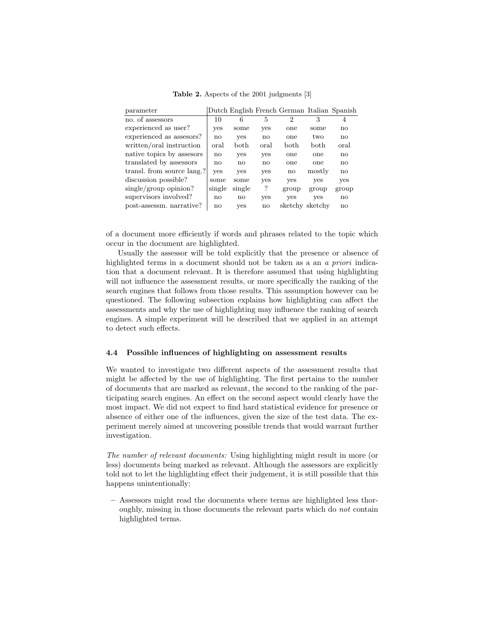Table 2. Aspects of the 2001 judgments [3]

| parameter                  |               |              |              | Dutch English French German Italian Spanish |            |              |
|----------------------------|---------------|--------------|--------------|---------------------------------------------|------------|--------------|
| no. of assessors           | 10            | 6            | 5            | 2                                           | 3          | 4            |
| experienced as user?       | <b>ves</b>    | some         | yes          | one                                         | some       | $\mathbf{n}$ |
| experienced as assesors?   | $\mathbf{no}$ | yes          | $\mathbf{n}$ | one                                         | two        | no           |
| written/oral instruction   | oral          | both         | oral         | both                                        | both       | oral         |
| native topics by assessors | $\mathbf{n}$  | yes          | yes          | one                                         | one        | no           |
| translated by assessors    | no            | no           | no           | one                                         | one        | no           |
| transl. from source lang.? | <b>ves</b>    | yes          | yes          | $\mathbf{n}$                                | mostly     | no           |
| discussion possible?       | some          | some         | yes          | yes                                         | <b>ves</b> | yes          |
| $single/group$ opinion?    | single        | single       | ?            | group                                       | group      | group        |
| supervisors involved?      | no            | $\mathbf{n}$ | yes          | yes                                         | <b>ves</b> | no           |
| post-assessm. narrative?   | no            | yes          | $\mathbf{n}$ | sketchy sketchy                             |            | $\mathbf{n}$ |

of a document more efficiently if words and phrases related to the topic which occur in the document are highlighted.

Usually the assessor will be told explicitly that the presence or absence of highlighted terms in a document should not be taken as a an a priori indication that a document relevant. It is therefore assumed that using highlighting will not influence the assessment results, or more specifically the ranking of the search engines that follows from those results. This assumption however can be questioned. The following subsection explains how highlighting can affect the assessments and why the use of highlighting may influence the ranking of search engines. A simple experiment will be described that we applied in an attempt to detect such effects.

## 4.4 Possible influences of highlighting on assessment results

We wanted to investigate two different aspects of the assessment results that might be affected by the use of highlighting. The first pertains to the number of documents that are marked as relevant, the second to the ranking of the participating search engines. An effect on the second aspect would clearly have the most impact. We did not expect to find hard statistical evidence for presence or absence of either one of the influences, given the size of the test data. The experiment merely aimed at uncovering possible trends that would warrant further investigation.

The number of relevant documents: Using highlighting might result in more (or less) documents being marked as relevant. Although the assessors are explicitly told not to let the highlighting effect their judgement, it is still possible that this happens unintentionally:

– Assessors might read the documents where terms are highlighted less thoroughly, missing in those documents the relevant parts which do not contain highlighted terms.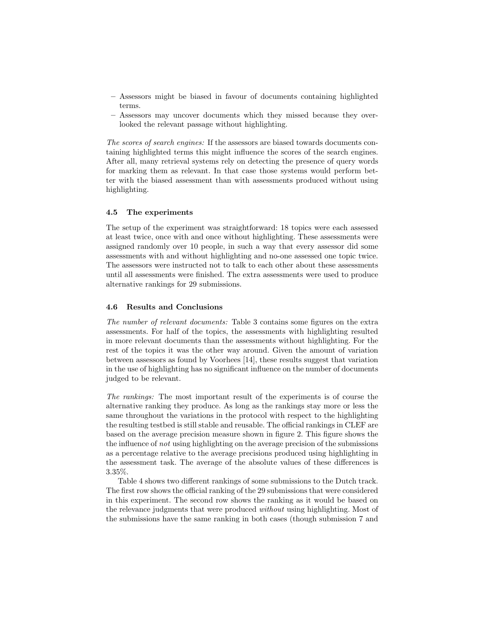- Assessors might be biased in favour of documents containing highlighted terms.
- Assessors may uncover documents which they missed because they overlooked the relevant passage without highlighting.

The scores of search engines: If the assessors are biased towards documents containing highlighted terms this might influence the scores of the search engines. After all, many retrieval systems rely on detecting the presence of query words for marking them as relevant. In that case those systems would perform better with the biased assessment than with assessments produced without using highlighting.

## 4.5 The experiments

The setup of the experiment was straightforward: 18 topics were each assessed at least twice, once with and once without highlighting. These assessments were assigned randomly over 10 people, in such a way that every assessor did some assessments with and without highlighting and no-one assessed one topic twice. The assessors were instructed not to talk to each other about these assessments until all assessments were finished. The extra assessments were used to produce alternative rankings for 29 submissions.

## 4.6 Results and Conclusions

The number of relevant documents: Table 3 contains some figures on the extra assessments. For half of the topics, the assessments with highlighting resulted in more relevant documents than the assessments without highlighting. For the rest of the topics it was the other way around. Given the amount of variation between assessors as found by Voorhees [14], these results suggest that variation in the use of highlighting has no significant influence on the number of documents judged to be relevant.

The rankings: The most important result of the experiments is of course the alternative ranking they produce. As long as the rankings stay more or less the same throughout the variations in the protocol with respect to the highlighting the resulting testbed is still stable and reusable. The official rankings in CLEF are based on the average precision measure shown in figure 2. This figure shows the the influence of not using highlighting on the average precision of the submissions as a percentage relative to the average precisions produced using highlighting in the assessment task. The average of the absolute values of these differences is 3.35%.

Table 4 shows two different rankings of some submissions to the Dutch track. The first row shows the official ranking of the 29 submissions that were considered in this experiment. The second row shows the ranking as it would be based on the relevance judgments that were produced without using highlighting. Most of the submissions have the same ranking in both cases (though submission 7 and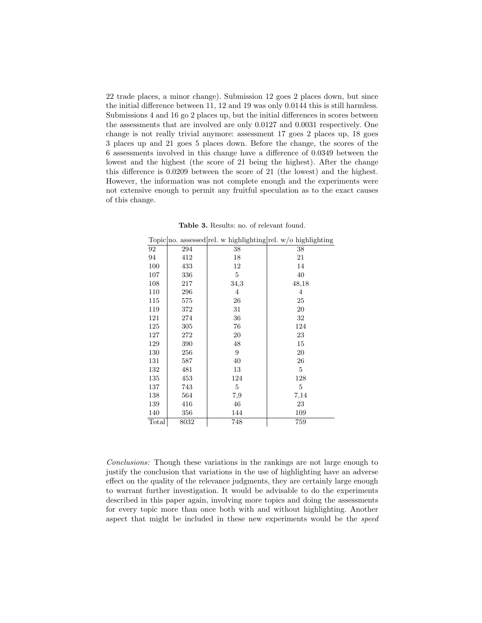22 trade places, a minor change). Submission 12 goes 2 places down, but since the initial difference between 11, 12 and 19 was only 0.0144 this is still harmless. Submissions 4 and 16 go 2 places up, but the initial differences in scores between the assessments that are involved are only 0.0127 and 0.0031 respectively. One change is not really trivial anymore: assessment 17 goes 2 places up, 18 goes 3 places up and 21 goes 5 places down. Before the change, the scores of the 6 assessments involved in this change have a difference of 0.0349 between the lowest and the highest (the score of 21 being the highest). After the change this difference is 0.0209 between the score of 21 (the lowest) and the highest. However, the information was not complete enough and the experiments were not extensive enough to permit any fruitful speculation as to the exact causes of this change.

Table 3. Results: no. of relevant found.

|       |      |      | Topic no. assessed rel. w highlighting rel. w/o highlighting |
|-------|------|------|--------------------------------------------------------------|
| 92    | 294  | 38   | 38                                                           |
| 94    | 412  | 18   | 21                                                           |
| 100   | 433  | 12   | 14                                                           |
| 107   | 336  | 5    | 40                                                           |
| 108   | 217  | 34,3 | 48,18                                                        |
| 110   | 296  | 4    | 4                                                            |
| 115   | 575  | 26   | 25                                                           |
| 119   | 372  | 31   | 20                                                           |
| 121   | 274  | 36   | 32                                                           |
| 125   | 305  | 76   | 124                                                          |
| 127   | 272  | 20   | 23                                                           |
| 129   | 390  | 48   | 15                                                           |
| 130   | 256  | 9    | 20                                                           |
| 131   | 587  | 40   | 26                                                           |
| 132   | 481  | 13   | 5                                                            |
| 135   | 453  | 124  | 128                                                          |
| 137   | 743  | 5    | 5                                                            |
| 138   | 564  | 7,9  | 7,14                                                         |
| 139   | 416  | 46   | 23                                                           |
| 140   | 356  | 144  | 109                                                          |
| Total | 8032 | 748  | 759                                                          |

Conclusions: Though these variations in the rankings are not large enough to justify the conclusion that variations in the use of highlighting have an adverse effect on the quality of the relevance judgments, they are certainly large enough to warrant further investigation. It would be advisable to do the experiments described in this paper again, involving more topics and doing the assessments for every topic more than once both with and without highlighting. Another aspect that might be included in these new experiments would be the *speed*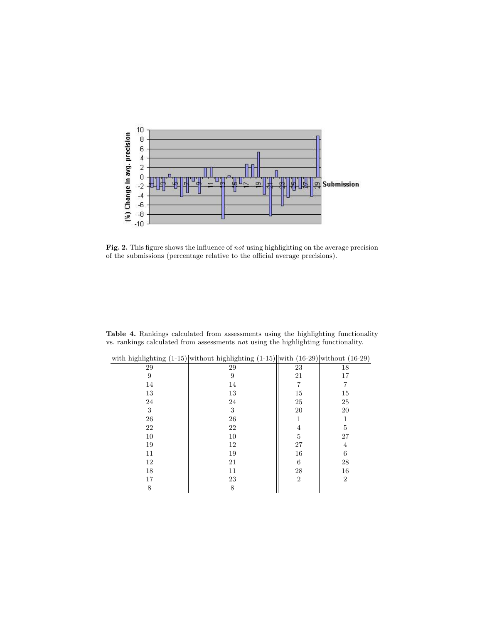

Fig. 2. This figure shows the influence of  $not$  using highlighting on the average precision of the submissions (percentage relative to the official average precisions).

|  |  |  |  |                                                                                           | <b>Table 4.</b> Rankings calculated from assessments using the highlighting functionality |  |
|--|--|--|--|-------------------------------------------------------------------------------------------|-------------------------------------------------------------------------------------------|--|
|  |  |  |  | vs. rankings calculated from assessments <i>not</i> using the highlighting functionality. |                                                                                           |  |

| 29     | 29               | $23\,$         | 18             |
|--------|------------------|----------------|----------------|
| 9      | $\boldsymbol{9}$ | 21             | 17             |
| 14     | 14               | $\overline{7}$ | $\overline{7}$ |
| $13\,$ | 13               | 15             | 15             |
| $24\,$ | 24               | $25\,$         | $25\,$         |
| 3      | $\sqrt{3}$       | $20\,$         | 20             |
| $26\,$ | $26\,$           | 1              | 1              |
| $22\,$ | 22               | $\overline{4}$ | $\bf 5$        |
| $10\,$ | $10\,$           | $\bf 5$        | $27\,$         |
| 19     | 12               | $27\,$         | $\overline{4}$ |
| 11     | 19               | $16\,$         | 6              |
| $12\,$ | 21               | $\,6\,$        | $\,28$         |
| $18\,$ | 11               | $28\,$         | $16\,$         |
| $17\,$ | 23               | $\overline{2}$ | $\overline{2}$ |
| 8      | 8                |                |                |
|        |                  |                |                |

with highlighting  $(1-15)$  without highlighting  $(1-15)$  with  $(16-29)$  without  $(16-29)$